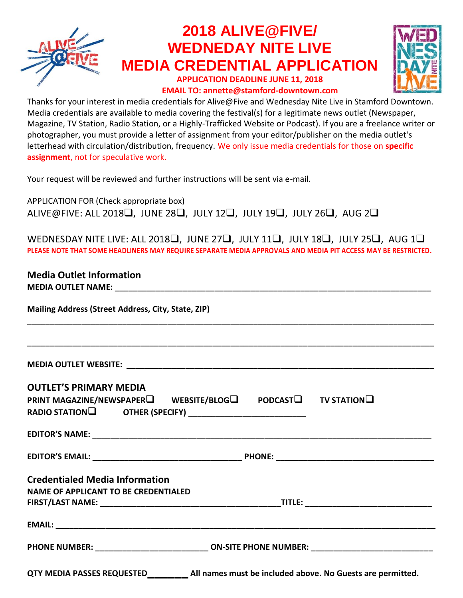

## **2018 ALIVE@FIVE/ WEDNEDAY NITE LIVE MEDIA CREDENTIAL APPLICATION**

**APPLICATION DEADLINE JUNE 11, 2018 EMAIL TO: annette@stamford-downtown.com**



Thanks for your interest in media credentials for Alive@Five and Wednesday Nite Live in Stamford Downtown. Media credentials are available to media covering the festival(s) for a legitimate news outlet (Newspaper, Magazine, TV Station, Radio Station, or a Highly-Trafficked Website or Podcast). If you are a freelance writer or photographer, you must provide a letter of assignment from your editor/publisher on the media outlet's letterhead with circulation/distribution, frequency. We only issue media credentials for those on **specific assignment**, not for speculative work.

Your request will be reviewed and further instructions will be sent via e-mail.

APPLICATION FOR (Check appropriate box) ALIVE@FIVE: ALL 2018❑, JUNE 28❑, JULY 12❑, JULY 19❑, JULY 26❑, AUG 2❑

WEDNESDAY NITE LIVE: ALL 2018❑, JUNE 27❑, JULY 11❑, JULY 18❑, JULY 25❑, AUG 1❑ **PLEASE NOTE THAT SOME HEADLINERS MAY REQUIRE SEPARATE MEDIA APPROVALS AND MEDIA PIT ACCESS MAY BE RESTRICTED.**

**\_\_\_\_\_\_\_\_\_\_\_\_\_\_\_\_\_\_\_\_\_\_\_\_\_\_\_\_\_\_\_\_\_\_\_\_\_\_\_\_\_\_\_\_\_\_\_\_\_\_\_\_\_\_\_\_\_\_\_\_\_\_\_\_\_\_\_\_\_\_\_\_\_\_\_\_\_\_\_\_\_\_\_\_\_\_\_\_\_\_**

**\_\_\_\_\_\_\_\_\_\_\_\_\_\_\_\_\_\_\_\_\_\_\_\_\_\_\_\_\_\_\_\_\_\_\_\_\_\_\_\_\_\_\_\_\_\_\_\_\_\_\_\_\_\_\_\_\_\_\_\_\_\_\_\_\_\_\_\_\_\_\_\_\_\_\_\_\_\_\_\_\_\_\_\_\_\_\_\_\_\_**

## **Media Outlet Information**

**MEDIA OUTLET NAME:** 

**Mailing Address (Street Address, City, State, ZIP)**

**MEDIA OUTLET WEBSITE: \_\_\_\_\_\_\_\_\_\_\_\_\_\_\_\_\_\_\_\_\_\_\_\_\_\_\_\_\_\_\_\_\_\_\_\_\_\_\_\_\_\_\_\_\_\_\_\_\_\_\_\_\_\_\_\_\_\_\_\_\_\_\_\_\_\_\_\_**

| <b>OUTLET'S PRIMARY MEDIA</b><br>PRINT MAGAZINE/NEWSPAPER□ WEBSITE/BLOG□ PODCAST□ TV STATION□ |  |
|-----------------------------------------------------------------------------------------------|--|
|                                                                                               |  |
|                                                                                               |  |
| <b>Credentialed Media Information</b>                                                         |  |
| <b>NAME OF APPLICANT TO BE CREDENTIALED</b>                                                   |  |
|                                                                                               |  |
|                                                                                               |  |
| PHONE NUMBER: ___________________________ ON-SITE PHONE NUMBER: _________________             |  |
|                                                                                               |  |